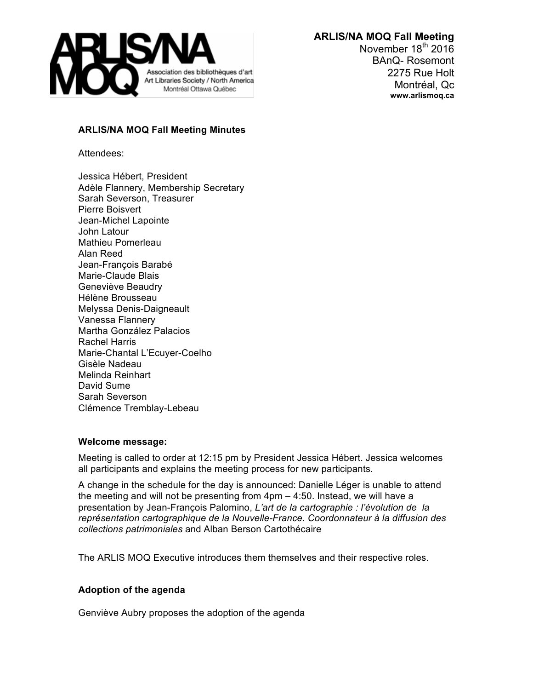

## **ARLIS/NA MOQ Fall Meeting**

November  $18<sup>th</sup>$  2016 BAnQ- Rosemont 2275 Rue Holt Montréal, Qc **www.arlismoq.ca** 

### **ARLIS/NA MOQ Fall Meeting Minutes**

Attendees:

Jessica Hébert, President Adèle Flannery, Membership Secretary Sarah Severson, Treasurer Pierre Boisvert Jean-Michel Lapointe John Latour Mathieu Pomerleau Alan Reed Jean-François Barabé Marie-Claude Blais Geneviève Beaudry Hélène Brousseau Melyssa Denis-Daigneault Vanessa Flannery Martha González Palacios Rachel Harris Marie-Chantal L'Ecuyer-Coelho Gisèle Nadeau Melinda Reinhart David Sume Sarah Severson Clémence Tremblay-Lebeau

#### **Welcome message:**

Meeting is called to order at 12:15 pm by President Jessica Hébert. Jessica welcomes all participants and explains the meeting process for new participants.

A change in the schedule for the day is announced: Danielle Léger is unable to attend the meeting and will not be presenting from 4pm – 4:50. Instead, we will have a presentation by Jean-François Palomino, *L'art de la cartographie : l'évolution de la représentation cartographique de la Nouvelle-France*. *Coordonnateur à la diffusion des collections patrimoniales* and Alban Berson Cartothécaire

The ARLIS MOQ Executive introduces them themselves and their respective roles.

## **Adoption of the agenda**

Genviève Aubry proposes the adoption of the agenda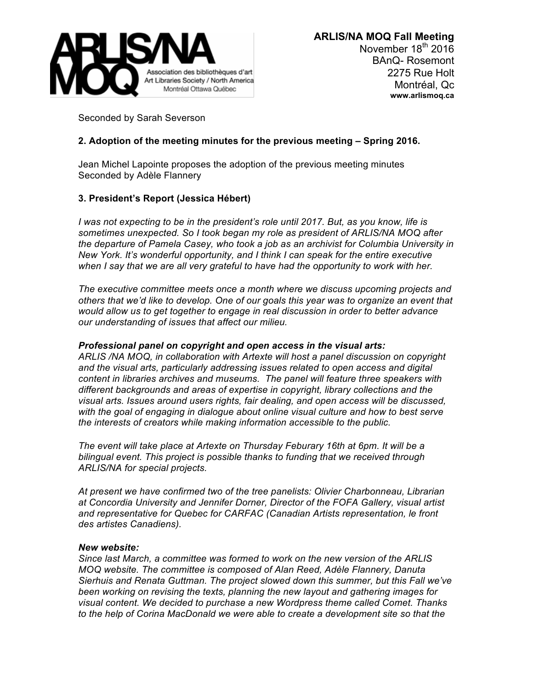

Seconded by Sarah Severson

## **2. Adoption of the meeting minutes for the previous meeting – Spring 2016.**

Jean Michel Lapointe proposes the adoption of the previous meeting minutes Seconded by Adèle Flannery

## **3. President's Report (Jessica Hébert)**

*I was not expecting to be in the president's role until 2017. But, as you know, life is sometimes unexpected. So I took began my role as president of ARLIS/NA MOQ after the departure of Pamela Casey, who took a job as an archivist for Columbia University in New York. It's wonderful opportunity, and I think I can speak for the entire executive when I say that we are all very grateful to have had the opportunity to work with her.* 

*The executive committee meets once a month where we discuss upcoming projects and others that we'd like to develop. One of our goals this year was to organize an event that would allow us to get together to engage in real discussion in order to better advance our understanding of issues that affect our milieu.* 

#### *Professional panel on copyright and open access in the visual arts:*

*ARLIS /NA MOQ, in collaboration with Artexte will host a panel discussion on copyright and the visual arts, particularly addressing issues related to open access and digital content in libraries archives and museums. The panel will feature three speakers with different backgrounds and areas of expertise in copyright, library collections and the visual arts. Issues around users rights, fair dealing, and open access will be discussed, with the goal of engaging in dialogue about online visual culture and how to best serve the interests of creators while making information accessible to the public.* 

*The event will take place at Artexte on Thursday Feburary 16th at 6pm. It will be a bilingual event. This project is possible thanks to funding that we received through ARLIS/NA for special projects.* 

*At present we have confirmed two of the tree panelists: Olivier Charbonneau, Librarian at Concordia University and Jennifer Dorner, Director of the FOFA Gallery, visual artist and representative for Quebec for CARFAC (Canadian Artists representation, le front des artistes Canadiens).* 

#### *New website:*

*Since last March, a committee was formed to work on the new version of the ARLIS MOQ website. The committee is composed of Alan Reed, Adèle Flannery, Danuta Sierhuis and Renata Guttman. The project slowed down this summer, but this Fall we've been working on revising the texts, planning the new layout and gathering images for visual content. We decided to purchase a new Wordpress theme called Comet. Thanks to the help of Corina MacDonald we were able to create a development site so that the*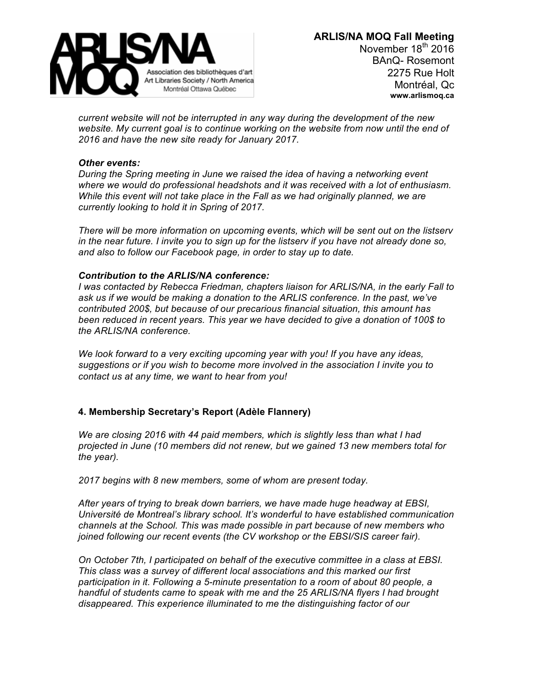

*current website will not be interrupted in any way during the development of the new website. My current goal is to continue working on the website from now until the end of 2016 and have the new site ready for January 2017.* 

#### *Other events:*

*During the Spring meeting in June we raised the idea of having a networking event where we would do professional headshots and it was received with a lot of enthusiasm. While this event will not take place in the Fall as we had originally planned, we are currently looking to hold it in Spring of 2017.* 

*There will be more information on upcoming events, which will be sent out on the listserv in the near future. I invite you to sign up for the listserv if you have not already done so, and also to follow our Facebook page, in order to stay up to date.* 

#### *Contribution to the ARLIS/NA conference:*

*I was contacted by Rebecca Friedman, chapters liaison for ARLIS/NA, in the early Fall to*  ask us if we would be making a donation to the ARLIS conference. In the past, we've *contributed 200\$, but because of our precarious financial situation, this amount has been reduced in recent years. This year we have decided to give a donation of 100\$ to the ARLIS/NA conference.* 

*We look forward to a very exciting upcoming year with you! If you have any ideas, suggestions or if you wish to become more involved in the association I invite you to contact us at any time, we want to hear from you!* 

## **4. Membership Secretary's Report (Adèle Flannery)**

*We are closing 2016 with 44 paid members, which is slightly less than what I had projected in June (10 members did not renew, but we gained 13 new members total for the year).* 

*2017 begins with 8 new members, some of whom are present today.* 

*After years of trying to break down barriers, we have made huge headway at EBSI, Université de Montreal's library school. It's wonderful to have established communication channels at the School. This was made possible in part because of new members who joined following our recent events (the CV workshop or the EBSI/SIS career fair).*

*On October 7th, I participated on behalf of the executive committee in a class at EBSI. This class was a survey of different local associations and this marked our first participation in it. Following a 5-minute presentation to a room of about 80 people, a handful of students came to speak with me and the 25 ARLIS/NA flyers I had brought disappeared. This experience illuminated to me the distinguishing factor of our*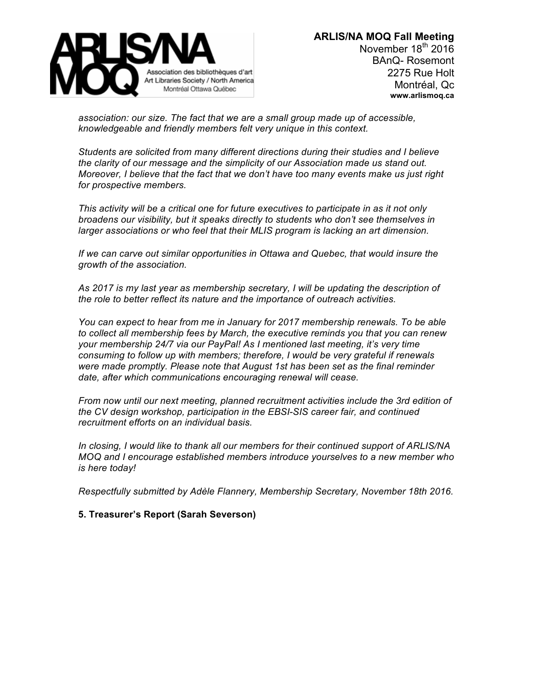

*association: our size. The fact that we are a small group made up of accessible, knowledgeable and friendly members felt very unique in this context.* 

*Students are solicited from many different directions during their studies and I believe the clarity of our message and the simplicity of our Association made us stand out. Moreover, I believe that the fact that we don't have too many events make us just right for prospective members.* 

*This activity will be a critical one for future executives to participate in as it not only broadens our visibility, but it speaks directly to students who don't see themselves in larger associations or who feel that their MLIS program is lacking an art dimension.*

*If we can carve out similar opportunities in Ottawa and Quebec, that would insure the growth of the association.* 

*As 2017 is my last year as membership secretary, I will be updating the description of the role to better reflect its nature and the importance of outreach activities.* 

*You can expect to hear from me in January for 2017 membership renewals. To be able to collect all membership fees by March, the executive reminds you that you can renew your membership 24/7 via our PayPal! As I mentioned last meeting, it's very time consuming to follow up with members; therefore, I would be very grateful if renewals were made promptly. Please note that August 1st has been set as the final reminder date, after which communications encouraging renewal will cease.* 

*From now until our next meeting, planned recruitment activities include the 3rd edition of the CV design workshop, participation in the EBSI-SIS career fair, and continued recruitment efforts on an individual basis.* 

*In closing, I would like to thank all our members for their continued support of ARLIS/NA MOQ and I encourage established members introduce yourselves to a new member who is here today!* 

*Respectfully submitted by Adèle Flannery, Membership Secretary, November 18th 2016.* 

#### **5. Treasurer's Report (Sarah Severson)**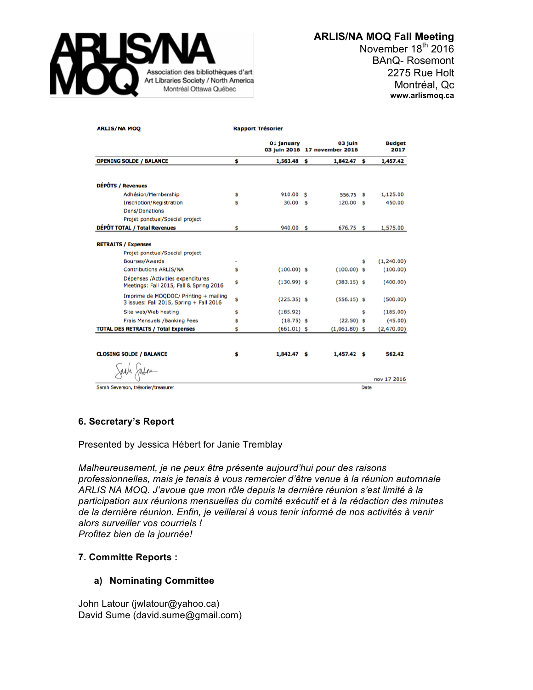

**ARLIS/NA MOQ Fall Meeting**

November 18<sup>th</sup> 2016 BAnQ- Rosemont 2275 Rue Holt Montréal, Qc **www.arlismoq.ca** 

|                                                                                        |               | <b>Rapport Trésorier</b>                 |                 |     |                       |  |
|----------------------------------------------------------------------------------------|---------------|------------------------------------------|-----------------|-----|-----------------------|--|
|                                                                                        | 01 january    | 03 juin<br>03 juin 2016 17 november 2016 |                 |     | <b>Budget</b><br>2017 |  |
| <b>OPENING SOLDE / BALANCE</b><br>\$                                                   | 1,563.48      | \$                                       | 1,842.47        | \$  | 1,457.42              |  |
| DÉPÔTS / Revenues                                                                      |               |                                          |                 |     |                       |  |
| Adhésion/Membership<br>\$                                                              | 910.00        | S                                        | 556.75          | Ŝ   | 1,125.00              |  |
| <b>Inscription/Registration</b>                                                        | 30.00         | 5                                        | 120.00 \$       |     | 450.00                |  |
| <b>Dons/Donations</b>                                                                  |               |                                          |                 |     |                       |  |
| Projet ponctuel/Special project                                                        |               |                                          |                 |     |                       |  |
| DÉPÔT TOTAL / Total Revenues                                                           | 940.00 \$     |                                          | $676.75$ \$     |     | 1,575.00              |  |
| <b>RETRAITS / Expenses</b><br>Projet ponctuel/Special project                          |               |                                          |                 |     |                       |  |
| <b>Bourses/Awards</b>                                                                  |               |                                          |                 | \$. | (1,240.00)            |  |
| <b>Contributions ARLIS/NA</b><br>\$                                                    | $(100.00)$ \$ |                                          | $(100.00)$ \$   |     | (100.00)              |  |
| Dépenses /Activities expenditures<br>\$<br>Meetings: Fall 2015, Fall & Spring 2016     | $(130.99)$ \$ |                                          | $(383.15)$ \$   |     | (400.00)              |  |
| Imprime de MOQDOC/ Printing + mailing<br>\$<br>3 issues: Fall 2015, Spring + Fall 2016 | $(225.35)$ \$ |                                          | $(556.15)$ \$   |     | (500.00)              |  |
| Site web/Web hosting<br>\$                                                             | (185.92)      |                                          |                 | Ś   | (185.00)              |  |
| <b>Frais Mensuels /Banking Fees</b><br>\$                                              | $(18.75)$ \$  |                                          | $(22.50)$ \$    |     | (45.00)               |  |
| <b>TOTAL DES RETRAITS / Total Expenses</b><br>\$                                       | $(661.01)$ \$ |                                          | $(1,061.80)$ \$ |     | (2,470.00)            |  |
|                                                                                        |               |                                          |                 |     |                       |  |
| <b>CLOSING SOLDE / BALANCE</b><br>s                                                    | $1,842.47$ \$ |                                          | $1,457.42$ \$   |     | 562.42                |  |
| prah Jadar                                                                             |               |                                          |                 |     |                       |  |
| Sarah Severson, trésorier/treasurer                                                    |               | Date                                     |                 |     | nov 17 2016           |  |

## **6. Secretary's Report**

Presented by Jessica Hébert for Janie Tremblay

*Malheureusement, je ne peux être présente aujourd'hui pour des raisons professionnelles, mais je tenais à vous remercier d'être venue à la réunion automnale ARLIS NA MOQ. J'avoue que mon rôle depuis la dernière réunion s'est limité à la participation aux réunions mensuelles du comité exécutif et à la rédaction des minutes de la dernière réunion. Enfin, je veillerai à vous tenir informé de nos activités à venir alors surveiller vos courriels ! Profitez bien de la journée!*

#### **7. Committe Reports :**

#### **a) Nominating Committee**

John Latour (jwlatour@yahoo.ca) David Sume (david.sume@gmail.com)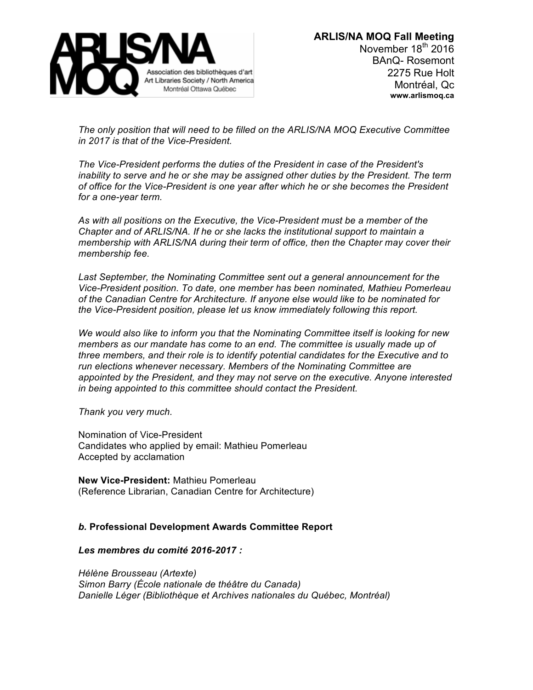

*The only position that will need to be filled on the ARLIS/NA MOQ Executive Committee in 2017 is that of the Vice-President.*

*The Vice-President performs the duties of the President in case of the President's inability to serve and he or she may be assigned other duties by the President. The term of office for the Vice-President is one year after which he or she becomes the President for a one-year term.*

*As with all positions on the Executive, the Vice-President must be a member of the Chapter and of ARLIS/NA. If he or she lacks the institutional support to maintain a membership with ARLIS/NA during their term of office, then the Chapter may cover their membership fee.*

Last September, the Nominating Committee sent out a general announcement for the *Vice-President position. To date, one member has been nominated, Mathieu Pomerleau of the Canadian Centre for Architecture. If anyone else would like to be nominated for the Vice-President position, please let us know immediately following this report.*

*We would also like to inform you that the Nominating Committee itself is looking for new members as our mandate has come to an end. The committee is usually made up of three members, and their role is to identify potential candidates for the Executive and to run elections whenever necessary. Members of the Nominating Committee are appointed by the President, and they may not serve on the executive. Anyone interested in being appointed to this committee should contact the President.* 

*Thank you very much.*

Nomination of Vice-President Candidates who applied by email: Mathieu Pomerleau Accepted by acclamation

**New Vice-President:** Mathieu Pomerleau (Reference Librarian, Canadian Centre for Architecture)

#### *b.* **Professional Development Awards Committee Report**

#### *Les membres du comité 2016-2017 :*

*Hélène Brousseau (Artexte) Simon Barry (École nationale de théâtre du Canada) Danielle Léger (Bibliothèque et Archives nationales du Québec, Montréal)*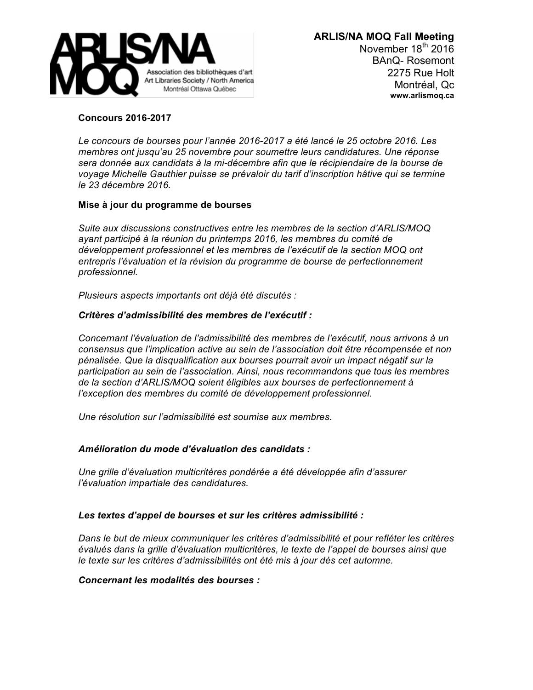

**www.arlismoq.ca** 

#### **Concours 2016-2017**

*Le concours de bourses pour l'année 2016-2017 a été lancé le 25 octobre 2016. Les membres ont jusqu'au 25 novembre pour soumettre leurs candidatures. Une réponse sera donnée aux candidats à la mi-décembre afin que le récipiendaire de la bourse de voyage Michelle Gauthier puisse se prévaloir du tarif d'inscription hâtive qui se termine le 23 décembre 2016.*

#### **Mise à jour du programme de bourses**

*Suite aux discussions constructives entre les membres de la section d'ARLIS/MOQ ayant participé à la réunion du printemps 2016, les membres du comité de développement professionnel et les membres de l'exécutif de la section MOQ ont entrepris l'évaluation et la révision du programme de bourse de perfectionnement professionnel.*

*Plusieurs aspects importants ont déjà été discutés :*

#### *Critères d'admissibilité des membres de l'exécutif :*

*Concernant l'évaluation de l'admissibilité des membres de l'exécutif, nous arrivons à un consensus que l'implication active au sein de l'association doit être récompensée et non pénalisée. Que la disqualification aux bourses pourrait avoir un impact négatif sur la participation au sein de l'association. Ainsi, nous recommandons que tous les membres de la section d'ARLIS/MOQ soient éligibles aux bourses de perfectionnement à l'exception des membres du comité de développement professionnel.* 

*Une résolution sur l'admissibilité est soumise aux membres.*

#### *Amélioration du mode d'évaluation des candidats :*

*Une grille d'évaluation multicritères pondérée a été développée afin d'assurer l'évaluation impartiale des candidatures.* 

#### *Les textes d'appel de bourses et sur les critères admissibilité :*

*Dans le but de mieux communiquer les critères d'admissibilité et pour refléter les critères évalués dans la grille d'évaluation multicritères, le texte de l'appel de bourses ainsi que le texte sur les critères d'admissibilités ont été mis à jour dès cet automne.*

#### *Concernant les modalités des bourses :*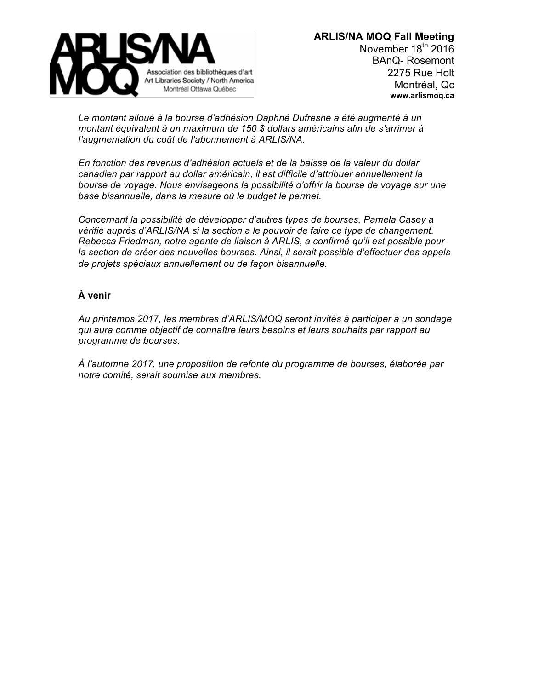

*Le montant alloué à la bourse d'adhésion Daphné Dufresne a été augmenté à un montant équivalent à un maximum de 150 \$ dollars américains afin de s'arrimer à l'augmentation du coût de l'abonnement à ARLIS/NA.*

*En fonction des revenus d'adhésion actuels et de la baisse de la valeur du dollar canadien par rapport au dollar américain, il est difficile d'attribuer annuellement la bourse de voyage. Nous envisageons la possibilité d'offrir la bourse de voyage sur une base bisannuelle, dans la mesure où le budget le permet.*

*Concernant la possibilité de développer d'autres types de bourses, Pamela Casey a vérifié auprès d'ARLIS/NA si la section a le pouvoir de faire ce type de changement. Rebecca Friedman, notre agente de liaison à ARLIS, a confirmé qu'il est possible pour la section de créer des nouvelles bourses. Ainsi, il serait possible d'effectuer des appels de projets spéciaux annuellement ou de façon bisannuelle.* 

## **À venir**

*Au printemps 2017, les membres d'ARLIS/MOQ seront invités à participer à un sondage qui aura comme objectif de connaître leurs besoins et leurs souhaits par rapport au programme de bourses.*

*À l'automne 2017, une proposition de refonte du programme de bourses, élaborée par notre comité, serait soumise aux membres.*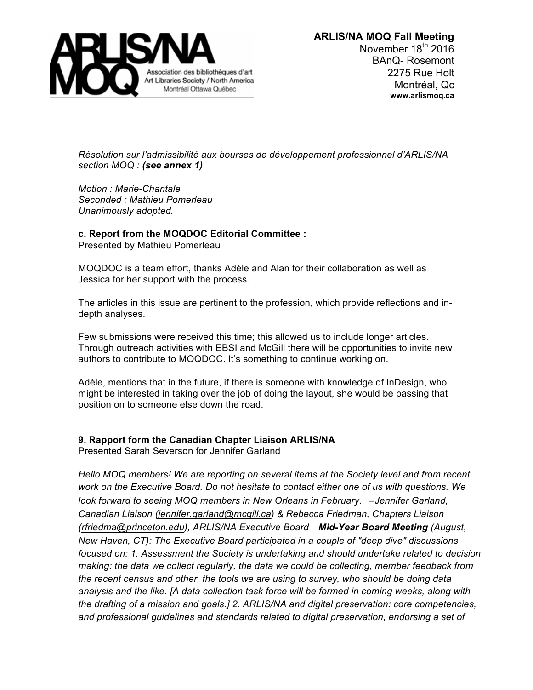

*Résolution sur l'admissibilité aux bourses de développement professionnel d'ARLIS/NA section MOQ : (see annex 1)*

*Motion : Marie-Chantale Seconded : Mathieu Pomerleau Unanimously adopted.* 

#### **c. Report from the MOQDOC Editorial Committee :**

Presented by Mathieu Pomerleau

MOQDOC is a team effort, thanks Adèle and Alan for their collaboration as well as Jessica for her support with the process.

The articles in this issue are pertinent to the profession, which provide reflections and indepth analyses.

Few submissions were received this time; this allowed us to include longer articles. Through outreach activities with EBSI and McGill there will be opportunities to invite new authors to contribute to MOQDOC. It's something to continue working on.

Adèle, mentions that in the future, if there is someone with knowledge of InDesign, who might be interested in taking over the job of doing the layout, she would be passing that position on to someone else down the road.

#### **9. Rapport form the Canadian Chapter Liaison ARLIS/NA**

Presented Sarah Severson for Jennifer Garland

*Hello MOQ members! We are reporting on several items at the Society level and from recent work on the Executive Board. Do not hesitate to contact either one of us with questions. We look forward to seeing MOQ members in New Orleans in February. –Jennifer Garland, Canadian Liaison (jennifer.garland@mcgill.ca) & Rebecca Friedman, Chapters Liaison (rfriedma@princeton.edu), ARLIS/NA Executive Board Mid-Year Board Meeting (August, New Haven, CT): The Executive Board participated in a couple of "deep dive" discussions focused on: 1. Assessment the Society is undertaking and should undertake related to decision making: the data we collect regularly, the data we could be collecting, member feedback from the recent census and other, the tools we are using to survey, who should be doing data analysis and the like. [A data collection task force will be formed in coming weeks, along with the drafting of a mission and goals.] 2. ARLIS/NA and digital preservation: core competencies, and professional guidelines and standards related to digital preservation, endorsing a set of*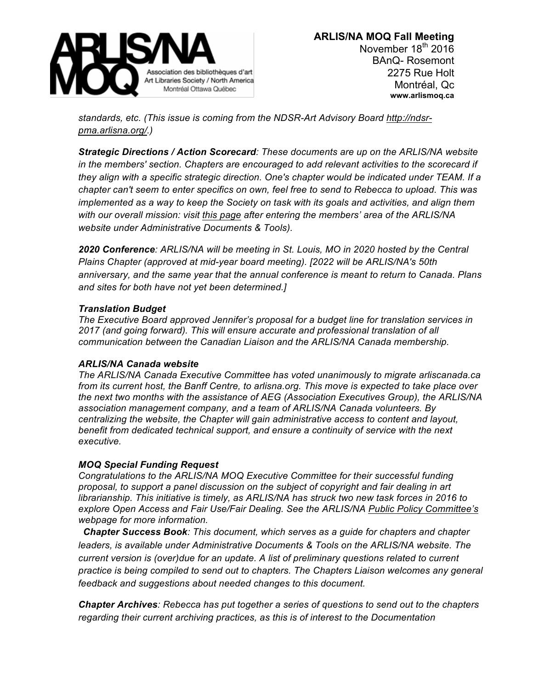

*standards, etc. (This issue is coming from the NDSR-Art Advisory Board http://ndsrpma.arlisna.org/.)*

*Strategic Directions / Action Scorecard: These documents are up on the ARLIS/NA website in the members' section. Chapters are encouraged to add relevant activities to the scorecard if they align with a specific strategic direction. One's chapter would be indicated under TEAM. If a chapter can't seem to enter specifics on own, feel free to send to Rebecca to upload. This was implemented as a way to keep the Society on task with its goals and activities, and align them with our overall mission: visit this page after entering the members' area of the ARLIS/NA website under Administrative Documents & Tools).* 

*2020 Conference: ARLIS/NA will be meeting in St. Louis, MO in 2020 hosted by the Central Plains Chapter (approved at mid-year board meeting). [2022 will be ARLIS/NA's 50th anniversary, and the same year that the annual conference is meant to return to Canada. Plans and sites for both have not yet been determined.]*

## *Translation Budget*

*The Executive Board approved Jennifer's proposal for a budget line for translation services in 2017 (and going forward). This will ensure accurate and professional translation of all communication between the Canadian Liaison and the ARLIS/NA Canada membership.*

## *ARLIS/NA Canada website*

*The ARLIS/NA Canada Executive Committee has voted unanimously to migrate arliscanada.ca from its current host, the Banff Centre, to arlisna.org. This move is expected to take place over the next two months with the assistance of AEG (Association Executives Group), the ARLIS/NA association management company, and a team of ARLIS/NA Canada volunteers. By centralizing the website, the Chapter will gain administrative access to content and layout, benefit from dedicated technical support, and ensure a continuity of service with the next executive.*

## *MOQ Special Funding Request*

*Congratulations to the ARLIS/NA MOQ Executive Committee for their successful funding proposal, to support a panel discussion on the subject of copyright and fair dealing in art librarianship. This initiative is timely, as ARLIS/NA has struck two new task forces in 2016 to explore Open Access and Fair Use/Fair Dealing. See the ARLIS/NA Public Policy Committee's webpage for more information.*

*Chapter Success Book: This document, which serves as a guide for chapters and chapter*  leaders, is available under Administrative Documents & Tools on the ARLIS/NA website. The *current version is (over)due for an update. A list of preliminary questions related to current practice is being compiled to send out to chapters. The Chapters Liaison welcomes any general feedback and suggestions about needed changes to this document.*

*Chapter Archives: Rebecca has put together a series of questions to send out to the chapters regarding their current archiving practices, as this is of interest to the Documentation*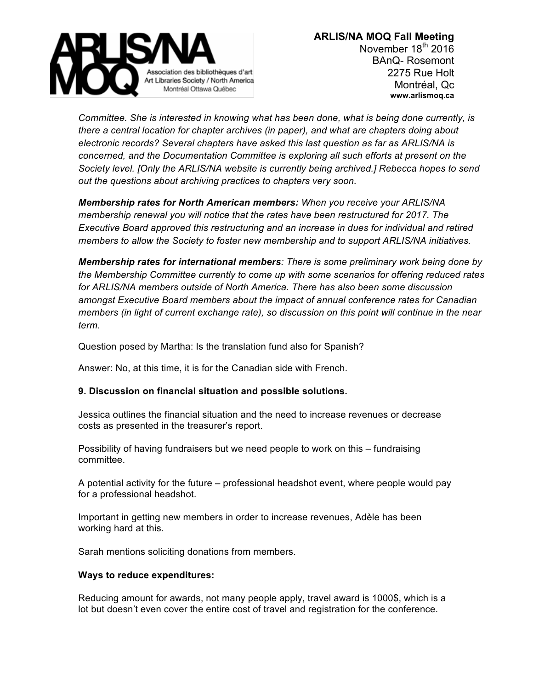

*Committee. She is interested in knowing what has been done, what is being done currently, is there a central location for chapter archives (in paper), and what are chapters doing about electronic records? Several chapters have asked this last question as far as ARLIS/NA is concerned, and the Documentation Committee is exploring all such efforts at present on the Society level. [Only the ARLIS/NA website is currently being archived.] Rebecca hopes to send out the questions about archiving practices to chapters very soon.*

*Membership rates for North American members: When you receive your ARLIS/NA membership renewal you will notice that the rates have been restructured for 2017. The Executive Board approved this restructuring and an increase in dues for individual and retired members to allow the Society to foster new membership and to support ARLIS/NA initiatives.*

*Membership rates for international members: There is some preliminary work being done by the Membership Committee currently to come up with some scenarios for offering reduced rates for ARLIS/NA members outside of North America. There has also been some discussion amongst Executive Board members about the impact of annual conference rates for Canadian members (in light of current exchange rate), so discussion on this point will continue in the near term.*

Question posed by Martha: Is the translation fund also for Spanish?

Answer: No, at this time, it is for the Canadian side with French.

## **9. Discussion on financial situation and possible solutions.**

Jessica outlines the financial situation and the need to increase revenues or decrease costs as presented in the treasurer's report.

Possibility of having fundraisers but we need people to work on this – fundraising committee.

A potential activity for the future – professional headshot event, where people would pay for a professional headshot.

Important in getting new members in order to increase revenues, Adèle has been working hard at this.

Sarah mentions soliciting donations from members.

## **Ways to reduce expenditures:**

Reducing amount for awards, not many people apply, travel award is 1000\$, which is a lot but doesn't even cover the entire cost of travel and registration for the conference.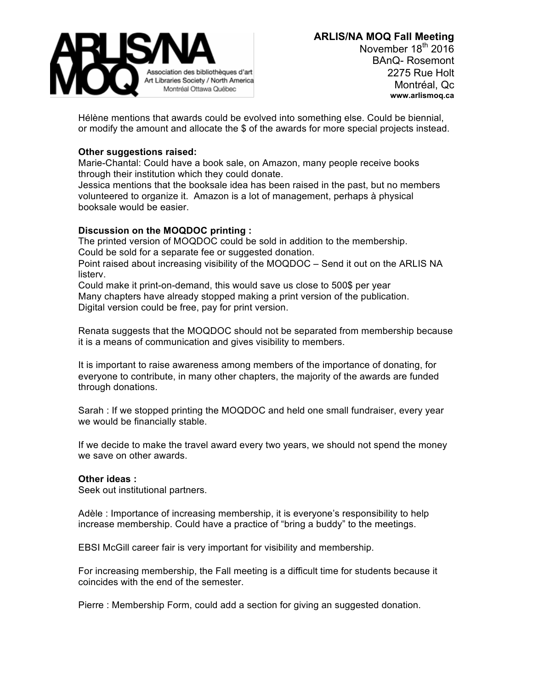

Hélène mentions that awards could be evolved into something else. Could be biennial, or modify the amount and allocate the \$ of the awards for more special projects instead.

#### **Other suggestions raised:**

Marie-Chantal: Could have a book sale, on Amazon, many people receive books through their institution which they could donate.

Jessica mentions that the booksale idea has been raised in the past, but no members volunteered to organize it. Amazon is a lot of management, perhaps à physical booksale would be easier.

#### **Discussion on the MOQDOC printing :**

The printed version of MOQDOC could be sold in addition to the membership. Could be sold for a separate fee or suggested donation. Point raised about increasing visibility of the MOQDOC – Send it out on the ARLIS NA

listerv.

Could make it print-on-demand, this would save us close to 500\$ per year Many chapters have already stopped making a print version of the publication. Digital version could be free, pay for print version.

Renata suggests that the MOQDOC should not be separated from membership because it is a means of communication and gives visibility to members.

It is important to raise awareness among members of the importance of donating, for everyone to contribute, in many other chapters, the majority of the awards are funded through donations.

Sarah : If we stopped printing the MOQDOC and held one small fundraiser, every year we would be financially stable.

If we decide to make the travel award every two years, we should not spend the money we save on other awards.

#### **Other ideas :**

Seek out institutional partners.

Adèle : Importance of increasing membership, it is everyone's responsibility to help increase membership. Could have a practice of "bring a buddy" to the meetings.

EBSI McGill career fair is very important for visibility and membership.

For increasing membership, the Fall meeting is a difficult time for students because it coincides with the end of the semester.

Pierre : Membership Form, could add a section for giving an suggested donation.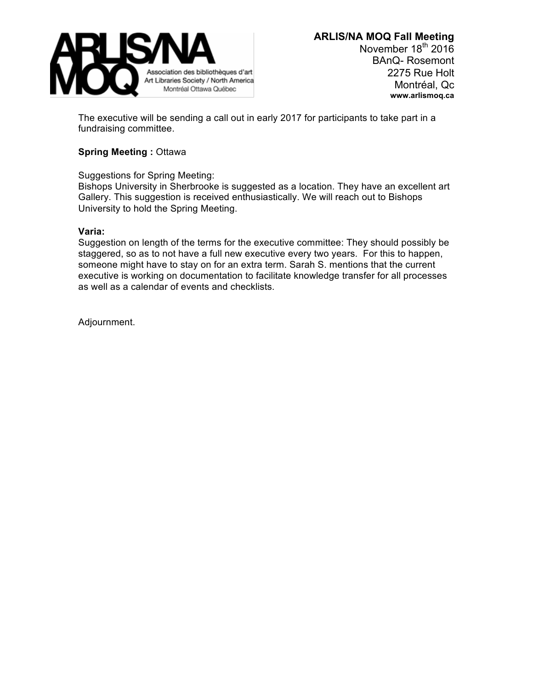

The executive will be sending a call out in early 2017 for participants to take part in a fundraising committee.

## **Spring Meeting :** Ottawa

Suggestions for Spring Meeting:

Bishops University in Sherbrooke is suggested as a location. They have an excellent art Gallery. This suggestion is received enthusiastically. We will reach out to Bishops University to hold the Spring Meeting.

#### **Varia:**

Suggestion on length of the terms for the executive committee: They should possibly be staggered, so as to not have a full new executive every two years. For this to happen, someone might have to stay on for an extra term. Sarah S. mentions that the current executive is working on documentation to facilitate knowledge transfer for all processes as well as a calendar of events and checklists.

Adjournment.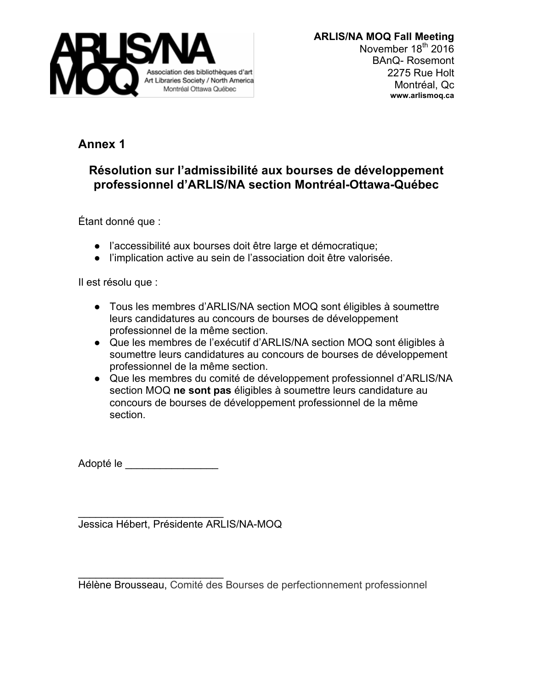

# **Annex 1**

## **Résolution sur l'admissibilité aux bourses de développement professionnel d'ARLIS/NA section Montréal-Ottawa-Québec**

Étant donné que :

- l'accessibilité aux bourses doit être large et démocratique;
- l'implication active au sein de l'association doit être valorisée.

Il est résolu que :

- Tous les membres d'ARLIS/NA section MOQ sont éligibles à soumettre leurs candidatures au concours de bourses de développement professionnel de la même section.
- Que les membres de l'exécutif d'ARLIS/NA section MOQ sont éligibles à soumettre leurs candidatures au concours de bourses de développement professionnel de la même section.
- Que les membres du comité de développement professionnel d'ARLIS/NA section MOQ **ne sont pas** éligibles à soumettre leurs candidature au concours de bourses de développement professionnel de la même section.

Adopté le \_\_\_\_\_\_\_\_\_\_\_\_\_\_\_\_

 $\mathcal{L}_\text{max}$  , where  $\mathcal{L}_\text{max}$  , we have the set of the set of the set of the set of the set of the set of the set of the set of the set of the set of the set of the set of the set of the set of the set of the set of Jessica Hébert, Présidente ARLIS/NA-MOQ

\_\_\_\_\_\_\_\_\_\_\_\_\_\_\_\_\_\_\_\_\_\_\_\_\_ Hélène Brousseau, Comité des Bourses de perfectionnement professionnel